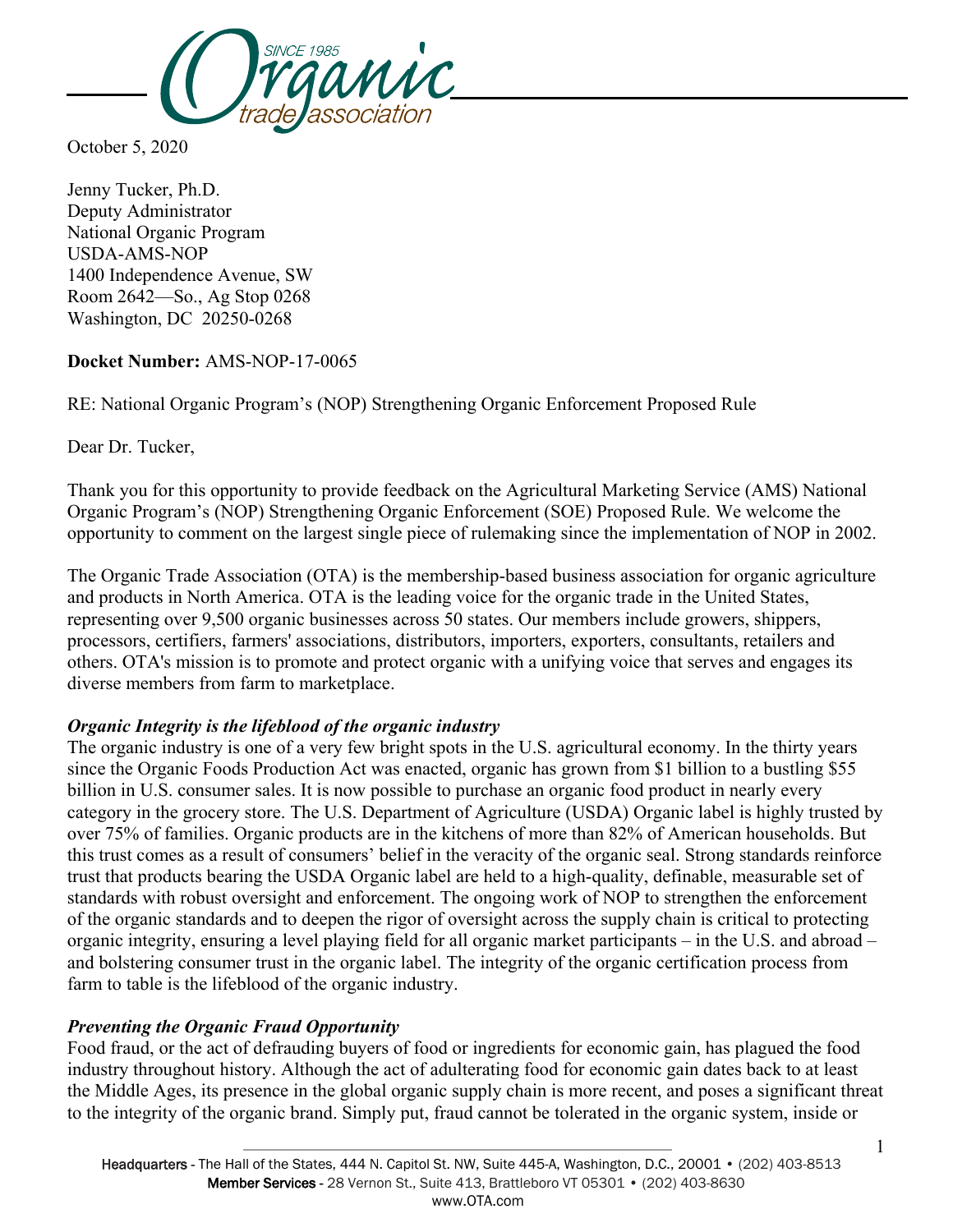

October 5, 2020

Jenny Tucker, Ph.D. Deputy Administrator National Organic Program USDA-AMS-NOP 1400 Independence Avenue, SW Room 2642—So., Ag Stop 0268 Washington, DC 20250-0268

### **Docket Number:** AMS-NOP-17-0065

RE: National Organic Program's (NOP) Strengthening Organic Enforcement Proposed Rule

Dear Dr. Tucker,

Thank you for this opportunity to provide feedback on the Agricultural Marketing Service (AMS) National Organic Program's (NOP) Strengthening Organic Enforcement (SOE) Proposed Rule. We welcome the opportunity to comment on the largest single piece of rulemaking since the implementation of NOP in 2002.

The Organic Trade Association (OTA) is the membership-based business association for organic agriculture and products in North America. OTA is the leading voice for the organic trade in the United States, representing over 9,500 organic businesses across 50 states. Our members include growers, shippers, processors, certifiers, farmers' associations, distributors, importers, exporters, consultants, retailers and others. OTA's mission is to promote and protect organic with a unifying voice that serves and engages its diverse members from farm to marketplace.

# *Organic Integrity is the lifeblood of the organic industry*

The organic industry is one of a very few bright spots in the U.S. agricultural economy. In the thirty years since the Organic Foods Production Act was enacted, organic has grown from \$1 billion to a bustling \$55 billion in U.S. consumer sales. It is now possible to purchase an organic food product in nearly every category in the grocery store. The U.S. Department of Agriculture (USDA) Organic label is highly trusted by over 75% of families. Organic products are in the kitchens of more than 82% of American households. But this trust comes as a result of consumers' belief in the veracity of the organic seal. Strong standards reinforce trust that products bearing the USDA Organic label are held to a high-quality, definable, measurable set of standards with robust oversight and enforcement. The ongoing work of NOP to strengthen the enforcement of the organic standards and to deepen the rigor of oversight across the supply chain is critical to protecting organic integrity, ensuring a level playing field for all organic market participants – in the U.S. and abroad – and bolstering consumer trust in the organic label. The integrity of the organic certification process from farm to table is the lifeblood of the organic industry.

# *Preventing the Organic Fraud Opportunity*

Food fraud, or the act of defrauding buyers of food or ingredients for economic gain, has plagued the food industry throughout history. Although the act of adulterating food for economic gain dates back to at least the Middle Ages, its presence in the global organic supply chain is more recent, and poses a significant threat to the integrity of the organic brand. Simply put, fraud cannot be tolerated in the organic system, inside or

1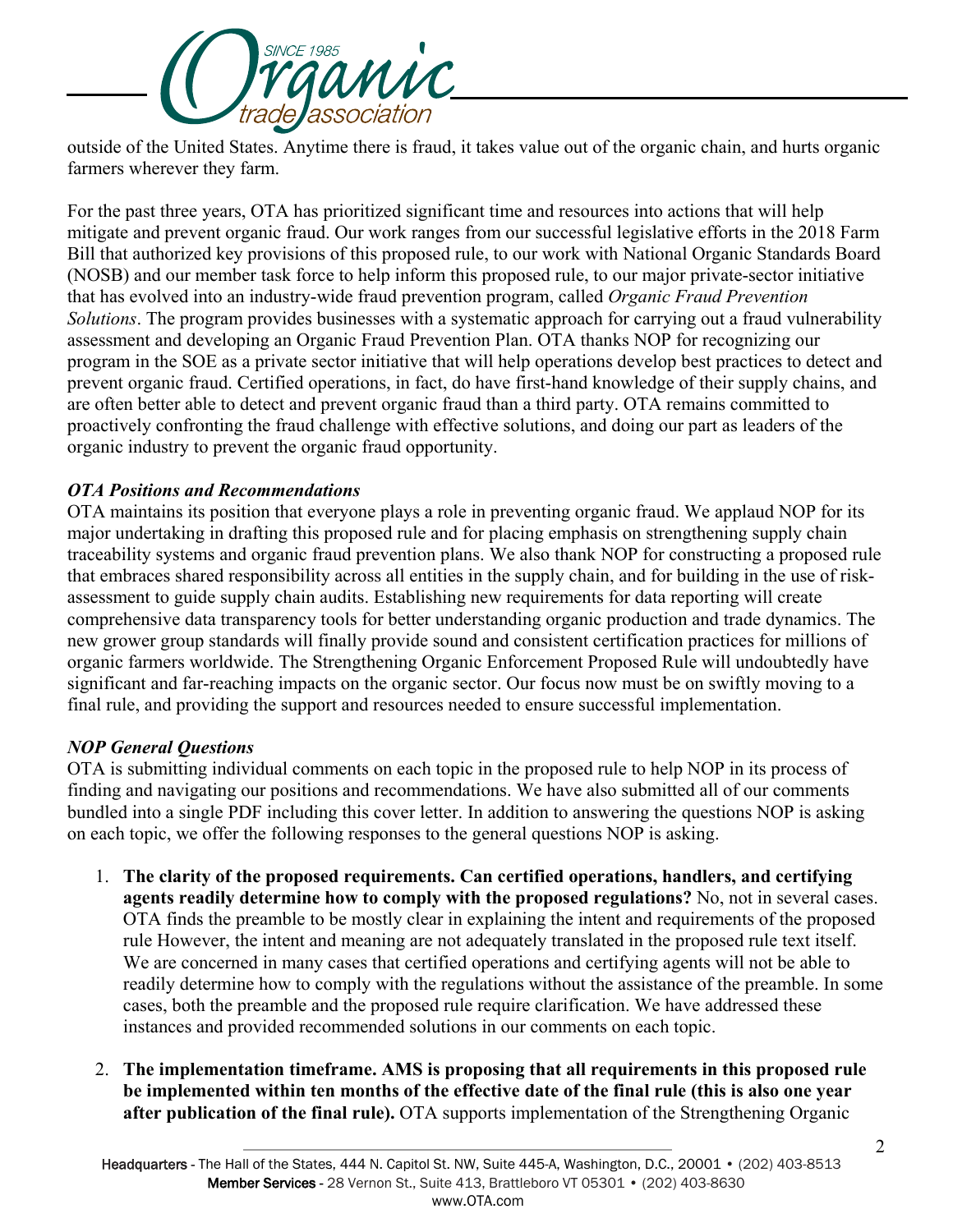

outside of the United States. Anytime there is fraud, it takes value out of the organic chain, and hurts organic farmers wherever they farm.

For the past three years, OTA has prioritized significant time and resources into actions that will help mitigate and prevent organic fraud. Our work ranges from our successful legislative efforts in the 2018 Farm Bill that authorized key provisions of this proposed rule, to our work with National Organic Standards Board (NOSB) and our member task force to help inform this proposed rule, to our major private-sector initiative that has evolved into an industry-wide fraud prevention program, called *Organic Fraud Prevention Solutions*. The program provides businesses with a systematic approach for carrying out a fraud vulnerability assessment and developing an Organic Fraud Prevention Plan. OTA thanks NOP for recognizing our program in the SOE as a private sector initiative that will help operations develop best practices to detect and prevent organic fraud. Certified operations, in fact, do have first-hand knowledge of their supply chains, and are often better able to detect and prevent organic fraud than a third party. OTA remains committed to proactively confronting the fraud challenge with effective solutions, and doing our part as leaders of the organic industry to prevent the organic fraud opportunity.

### *OTA Positions and Recommendations*

OTA maintains its position that everyone plays a role in preventing organic fraud. We applaud NOP for its major undertaking in drafting this proposed rule and for placing emphasis on strengthening supply chain traceability systems and organic fraud prevention plans. We also thank NOP for constructing a proposed rule that embraces shared responsibility across all entities in the supply chain, and for building in the use of riskassessment to guide supply chain audits. Establishing new requirements for data reporting will create comprehensive data transparency tools for better understanding organic production and trade dynamics. The new grower group standards will finally provide sound and consistent certification practices for millions of organic farmers worldwide. The Strengthening Organic Enforcement Proposed Rule will undoubtedly have significant and far-reaching impacts on the organic sector. Our focus now must be on swiftly moving to a final rule, and providing the support and resources needed to ensure successful implementation.

#### *NOP General Questions*

OTA is submitting individual comments on each topic in the proposed rule to help NOP in its process of finding and navigating our positions and recommendations. We have also submitted all of our comments bundled into a single PDF including this cover letter. In addition to answering the questions NOP is asking on each topic, we offer the following responses to the general questions NOP is asking.

- 1. **The clarity of the proposed requirements. Can certified operations, handlers, and certifying agents readily determine how to comply with the proposed regulations?** No, not in several cases. OTA finds the preamble to be mostly clear in explaining the intent and requirements of the proposed rule However, the intent and meaning are not adequately translated in the proposed rule text itself. We are concerned in many cases that certified operations and certifying agents will not be able to readily determine how to comply with the regulations without the assistance of the preamble. In some cases, both the preamble and the proposed rule require clarification. We have addressed these instances and provided recommended solutions in our comments on each topic.
- 2. **The implementation timeframe. AMS is proposing that all requirements in this proposed rule be implemented within ten months of the effective date of the final rule (this is also one year after publication of the final rule).** OTA supports implementation of the Strengthening Organic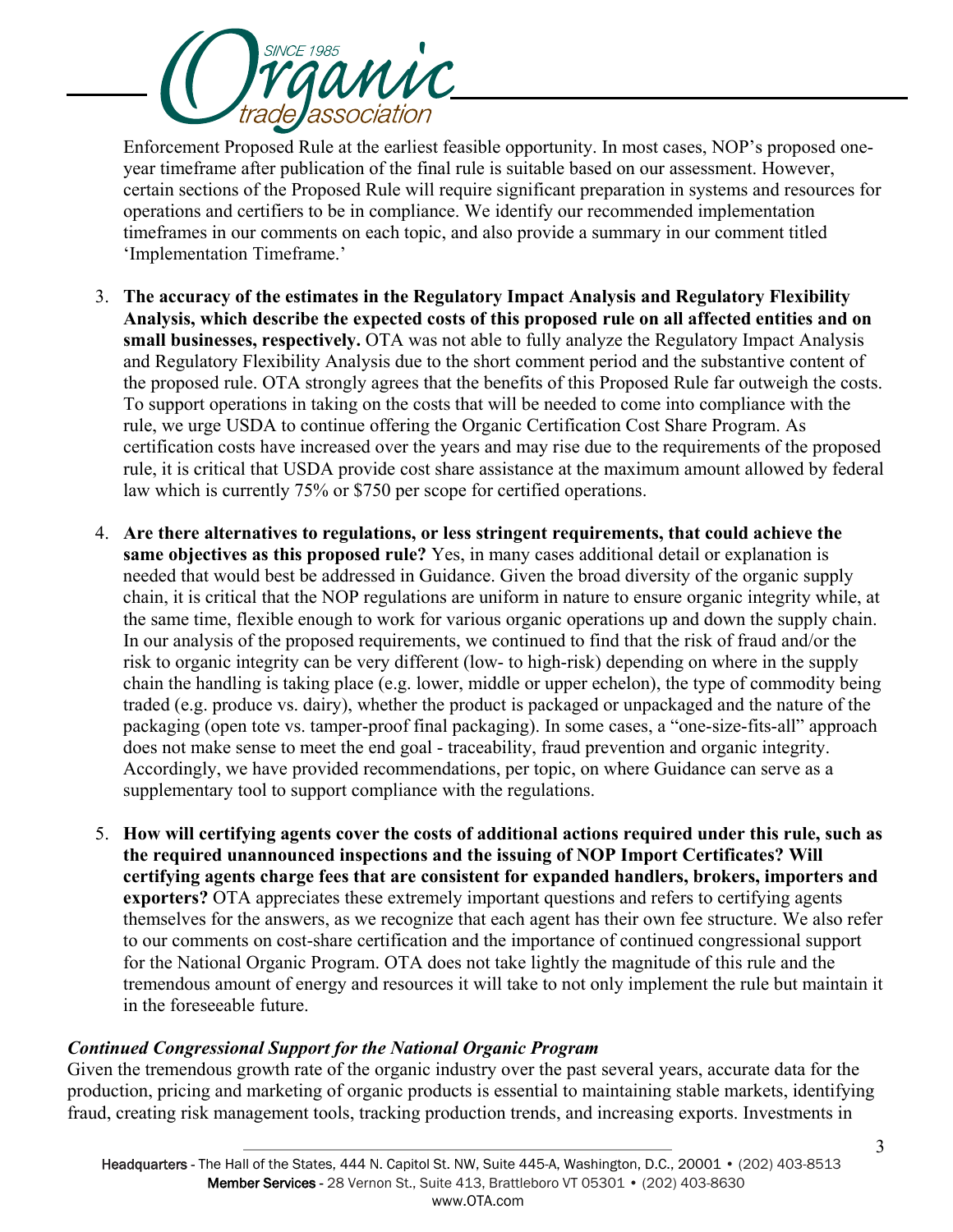

Enforcement Proposed Rule at the earliest feasible opportunity. In most cases, NOP's proposed oneyear timeframe after publication of the final rule is suitable based on our assessment. However, certain sections of the Proposed Rule will require significant preparation in systems and resources for operations and certifiers to be in compliance. We identify our recommended implementation timeframes in our comments on each topic, and also provide a summary in our comment titled 'Implementation Timeframe.'

- 3. **The accuracy of the estimates in the Regulatory Impact Analysis and Regulatory Flexibility Analysis, which describe the expected costs of this proposed rule on all affected entities and on small businesses, respectively.** OTA was not able to fully analyze the Regulatory Impact Analysis and Regulatory Flexibility Analysis due to the short comment period and the substantive content of the proposed rule. OTA strongly agrees that the benefits of this Proposed Rule far outweigh the costs. To support operations in taking on the costs that will be needed to come into compliance with the rule, we urge USDA to continue offering the Organic Certification Cost Share Program. As certification costs have increased over the years and may rise due to the requirements of the proposed rule, it is critical that USDA provide cost share assistance at the maximum amount allowed by federal law which is currently 75% or \$750 per scope for certified operations.
- 4. **Are there alternatives to regulations, or less stringent requirements, that could achieve the same objectives as this proposed rule?** Yes, in many cases additional detail or explanation is needed that would best be addressed in Guidance. Given the broad diversity of the organic supply chain, it is critical that the NOP regulations are uniform in nature to ensure organic integrity while, at the same time, flexible enough to work for various organic operations up and down the supply chain. In our analysis of the proposed requirements, we continued to find that the risk of fraud and/or the risk to organic integrity can be very different (low- to high-risk) depending on where in the supply chain the handling is taking place (e.g. lower, middle or upper echelon), the type of commodity being traded (e.g. produce vs. dairy), whether the product is packaged or unpackaged and the nature of the packaging (open tote vs. tamper-proof final packaging). In some cases, a "one-size-fits-all" approach does not make sense to meet the end goal - traceability, fraud prevention and organic integrity. Accordingly, we have provided recommendations, per topic, on where Guidance can serve as a supplementary tool to support compliance with the regulations.
- 5. **How will certifying agents cover the costs of additional actions required under this rule, such as the required unannounced inspections and the issuing of NOP Import Certificates? Will certifying agents charge fees that are consistent for expanded handlers, brokers, importers and exporters?** OTA appreciates these extremely important questions and refers to certifying agents themselves for the answers, as we recognize that each agent has their own fee structure. We also refer to our comments on cost-share certification and the importance of continued congressional support for the National Organic Program. OTA does not take lightly the magnitude of this rule and the tremendous amount of energy and resources it will take to not only implement the rule but maintain it in the foreseeable future.

# *Continued Congressional Support for the National Organic Program*

Given the tremendous growth rate of the organic industry over the past several years, accurate data for the production, pricing and marketing of organic products is essential to maintaining stable markets, identifying fraud, creating risk management tools, tracking production trends, and increasing exports. Investments in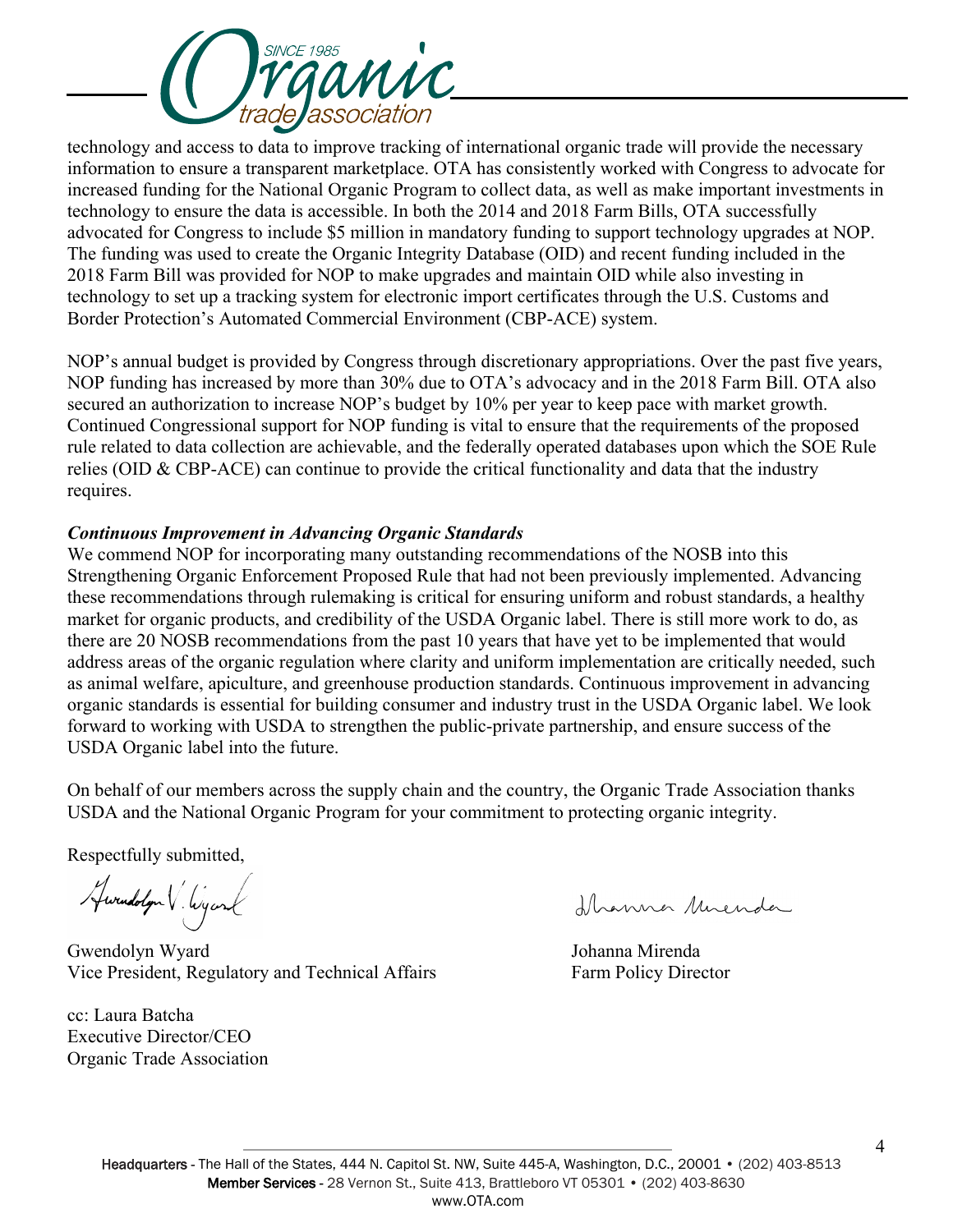

technology and access to data to improve tracking of international organic trade will provide the necessary information to ensure a transparent marketplace. OTA has consistently worked with Congress to advocate for increased funding for the National Organic Program to collect data, as well as make important investments in technology to ensure the data is accessible. In both the 2014 and 2018 Farm Bills, OTA successfully advocated for Congress to include \$5 million in mandatory funding to support technology upgrades at NOP. The funding was used to create the Organic Integrity Database (OID) and recent funding included in the 2018 Farm Bill was provided for NOP to make upgrades and maintain OID while also investing in technology to set up a tracking system for electronic import certificates through the U.S. Customs and Border Protection's Automated Commercial Environment (CBP-ACE) system.

NOP's annual budget is provided by Congress through discretionary appropriations. Over the past five years, NOP funding has increased by more than 30% due to OTA's advocacy and in the 2018 Farm Bill. OTA also secured an authorization to increase NOP's budget by 10% per year to keep pace with market growth. Continued Congressional support for NOP funding is vital to ensure that the requirements of the proposed rule related to data collection are achievable, and the federally operated databases upon which the SOE Rule relies (OID & CBP-ACE) can continue to provide the critical functionality and data that the industry requires.

## *Continuous Improvement in Advancing Organic Standards*

We commend NOP for incorporating many outstanding recommendations of the NOSB into this Strengthening Organic Enforcement Proposed Rule that had not been previously implemented. Advancing these recommendations through rulemaking is critical for ensuring uniform and robust standards, a healthy market for organic products, and credibility of the USDA Organic label. There is still more work to do, as there are 20 NOSB recommendations from the past 10 years that have yet to be implemented that would address areas of the organic regulation where clarity and uniform implementation are critically needed, such as animal welfare, apiculture, and greenhouse production standards. Continuous improvement in advancing organic standards is essential for building consumer and industry trust in the USDA Organic label. We look forward to working with USDA to strengthen the public-private partnership, and ensure success of the USDA Organic label into the future.

On behalf of our members across the supply chain and the country, the Organic Trade Association thanks USDA and the National Organic Program for your commitment to protecting organic integrity.

Respectfully submitted,

Awandolyn V. Wyand

 Gwendolyn Wyard Johanna Mirenda Vice President, Regulatory and Technical Affairs Farm Policy Director

cc: Laura Batcha Executive Director/CEO Organic Trade Association

florenna Muenda